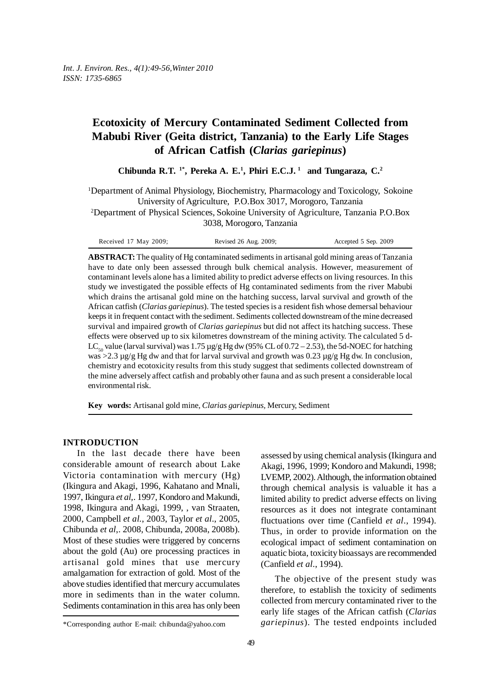# **Ecotoxicity of Mercury Contaminated Sediment Collected from Mabubi River (Geita district, Tanzania) to the Early Life Stages of African Catfish (***Clarias gariepinus***)**

**Chibunda R.T. 1\*, Pereka A. E.1 , Phiri E.C.J. 1 and Tungaraza, C.2**

<sup>1</sup>Department of Animal Physiology, Biochemistry, Pharmacology and Toxicology, Sokoine University of Agriculture, P.O.Box 3017, Morogoro, Tanzania

2 Department of Physical Sciences, Sokoine University of Agriculture, Tanzania P.O.Box 3038, Morogoro, Tanzania

| Received 17 May 2009; | Revised 26 Aug. 2009; | Accepted 5 Sep. 2009 |
|-----------------------|-----------------------|----------------------|
|-----------------------|-----------------------|----------------------|

**ABSTRACT:** The quality of Hg contaminated sediments in artisanal gold mining areas of Tanzania have to date only been assessed through bulk chemical analysis. However, measurement of contaminant levels alone has a limited ability to predict adverse effects on living resources. In this study we investigated the possible effects of Hg contaminated sediments from the river Mabubi which drains the artisanal gold mine on the hatching success, larval survival and growth of the African catfish (*Clarias gariepinus*). The tested species is a resident fish whose demersal behaviour keeps it in frequent contact with the sediment. Sediments collected downstream of the mine decreased survival and impaired growth of *Clarias gariepinus* but did not affect its hatching success. These effects were observed up to six kilometres downstream of the mining activity. The calculated 5 d-LC<sub>50</sub> value (larval survival) was 1.75 µg/g Hg dw (95% CL of 0.72 – 2.53), the 5d-NOEC for hatching was >2.3  $\mu$ g/g Hg dw and that for larval survival and growth was 0.23  $\mu$ g/g Hg dw. In conclusion, chemistry and ecotoxicity results from this study suggest that sediments collected downstream of the mine adversely affect catfish and probably other fauna and as such present a considerable local environmental risk.

**Key words:** Artisanal gold mine, *Clarias gariepinus,* Mercury, Sediment

# **INTRODUCTION**

In the last decade there have been considerable amount of research about Lake Victoria contamination with mercury (Hg) (Ikingura and Akagi, 1996, Kahatano and Mnali, 1997, Ikingura *et al,*. 1997, Kondoro and Makundi, 1998, Ikingura and Akagi, 1999, , van Straaten, 2000, Campbell *et al.*, 2003, Taylor *et al*., 2005, Chibunda *et al*,. 2008, Chibunda, 2008a, 2008b). Most of these studies were triggered by concerns about the gold (Au) ore processing practices in artisanal gold mines that use mercury amalgamation for extraction of gold. Most of the above studies identified that mercury accumulates more in sediments than in the water column. Sediments contamination in this area has only been

assessed by using chemical analysis (Ikingura and Akagi, 1996, 1999; Kondoro and Makundi, 1998; LVEMP, 2002). Although, the information obtained through chemical analysis is valuable it has a limited ability to predict adverse effects on living resources as it does not integrate contaminant fluctuations over time (Canfield *et al*., 1994). Thus, in order to provide information on the ecological impact of sediment contamination on aquatic biota, toxicity bioassays are recommended (Canfield *et al*., 1994).

The objective of the present study was therefore, to establish the toxicity of sediments collected from mercury contaminated river to the early life stages of the African catfish (*Clarias gariepinus*). The tested endpoints included

<sup>\*</sup>Corresponding author E-mail: chibunda@yahoo.com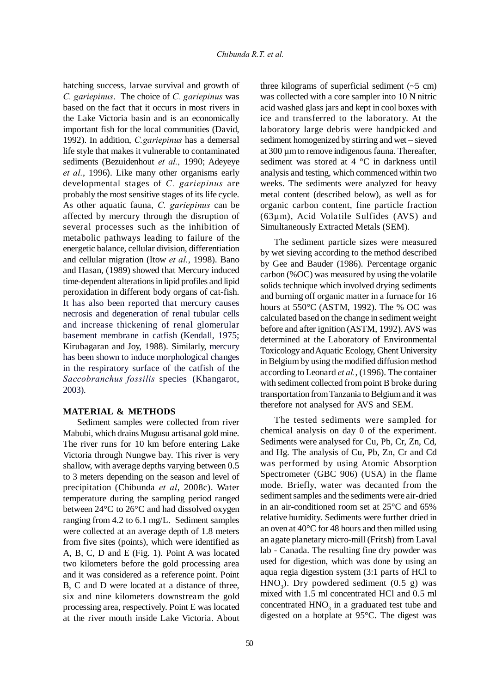hatching success, larvae survival and growth of *C. gariepinus*. The choice of *C. gariepinus* was based on the fact that it occurs in most rivers in the Lake Victoria basin and is an economically important fish for the local communities (David, 1992). In addition, *C.gariepinus* has a demersal life style that makes it vulnerable to contaminated sediments (Bezuidenhout *et al.,* 1990; Adeyeye *et al.*, 1996). Like many other organisms early developmental stages of *C. gariepinus* are probably the most sensitive stages of its life cycle. As other aquatic fauna, *C. gariepinus* can be affected by mercury through the disruption of several processes such as the inhibition of metabolic pathways leading to failure of the energetic balance, cellular division, differentiation and cellular migration (Itow *et al.*, 1998). Bano and Hasan, (1989) showed that Mercury induced time-dependent alterations in lipid profiles and lipid peroxidation in different body organs of cat-fish. It has also been reported that mercury causes necrosis and degeneration of renal tubular cells and increase thickening of renal glomerular basement membrane in catfish (Kendall, 1975; Kirubagaran and Joy, 1988). Similarly, mercury has been shown to induce morphological changes in the respiratory surface of the catfish of the *Saccobranchus fossilis* species (Khangarot, 2003).

## **MATERIAL & METHODS**

Sediment samples were collected from river Mabubi, which drains Mugusu artisanal gold mine. The river runs for 10 km before entering Lake Victoria through Nungwe bay. This river is very shallow, with average depths varying between 0.5 to 3 meters depending on the season and level of precipitation (Chibunda *et al*, 2008c). Water temperature during the sampling period ranged between 24°C to 26°C and had dissolved oxygen ranging from 4.2 to 6.1 mg/L. Sediment samples were collected at an average depth of 1.8 meters from five sites (points), which were identified as A, B, C, D and E (Fig. 1). Point A was located two kilometers before the gold processing area and it was considered as a reference point. Point B, C and D were located at a distance of three, six and nine kilometers downstream the gold processing area, respectively. Point E was located at the river mouth inside Lake Victoria. About

three kilograms of superficial sediment  $(-5 \text{ cm})$ was collected with a core sampler into 10 N nitric acid washed glass jars and kept in cool boxes with ice and transferred to the laboratory. At the laboratory large debris were handpicked and sediment homogenized by stirring and wet – sieved at 300 µm to remove indigenous fauna. Thereafter, sediment was stored at 4 °C in darkness until analysis and testing, which commenced within two weeks. The sediments were analyzed for heavy metal content (described below), as well as for organic carbon content, fine particle fraction (63µm), Acid Volatile Sulfides (AVS) and Simultaneously Extracted Metals (SEM).

The sediment particle sizes were measured by wet sieving according to the method described by Gee and Bauder (1986). Percentage organic carbon (%OC) was measured by using the volatile solids technique which involved drying sediments and burning off organic matter in a furnace for 16 hours at 550°C (ASTM, 1992). The % OC was calculated based on the change in sediment weight before and after ignition (ASTM, 1992). AVS was determined at the Laboratory of Environmental Toxicology and Aquatic Ecology, Ghent University in Belgium by using the modified diffusion method according to Leonard *et al.*, (1996). The container with sediment collected from point B broke during transportation from Tanzania to Belgium and it was therefore not analysed for AVS and SEM.

The tested sediments were sampled for chemical analysis on day 0 of the experiment. Sediments were analysed for Cu, Pb, Cr, Zn, Cd, and Hg. The analysis of Cu, Pb, Zn, Cr and Cd was performed by using Atomic Absorption Spectrometer (GBC 906) (USA) in the flame mode. Briefly, water was decanted from the sediment samples and the sediments were air-dried in an air-conditioned room set at 25°C and 65% relative humidity. Sediments were further dried in an oven at 40°C for 48 hours and then milled using an agate planetary micro-mill (Fritsh) from Laval lab - Canada. The resulting fine dry powder was used for digestion, which was done by using an aqua regia digestion system (3:1 parts of HCl to  $HNO<sub>3</sub>$ ). Dry powdered sediment (0.5 g) was mixed with 1.5 ml concentrated HCl and 0.5 ml concentrated  $HNO<sub>3</sub>$  in a graduated test tube and digested on a hotplate at 95°C. The digest was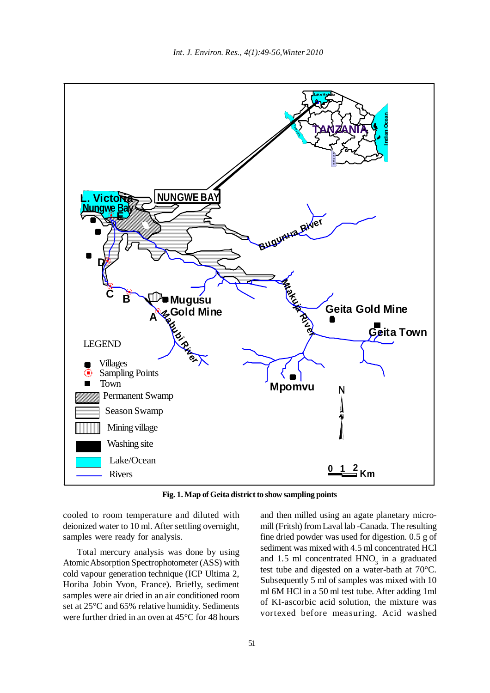

**Fig. 1. Map of Geita district to show sampling points**

cooled to room temperature and diluted with deionized water to 10 ml. After settling overnight, samples were ready for analysis.

Total mercury analysis was done by using Atomic Absorption Spectrophotometer (ASS) with cold vapour generation technique (ICP Ultima 2, Horiba Jobin Yvon, France). Briefly, sediment samples were air dried in an air conditioned room set at 25°C and 65% relative humidity. Sediments were further dried in an oven at 45°C for 48 hours

and then milled using an agate planetary micromill (Fritsh) from Laval lab -Canada. The resulting fine dried powder was used for digestion. 0.5 g of sediment was mixed with 4.5 ml concentrated HCl and 1.5 ml concentrated  $HNO<sub>3</sub>$  in a graduated test tube and digested on a water-bath at 70°C. Subsequently 5 ml of samples was mixed with 10 ml 6M HCl in a 50 ml test tube. After adding 1ml of KI-ascorbic acid solution, the mixture was vortexed before measuring. Acid washed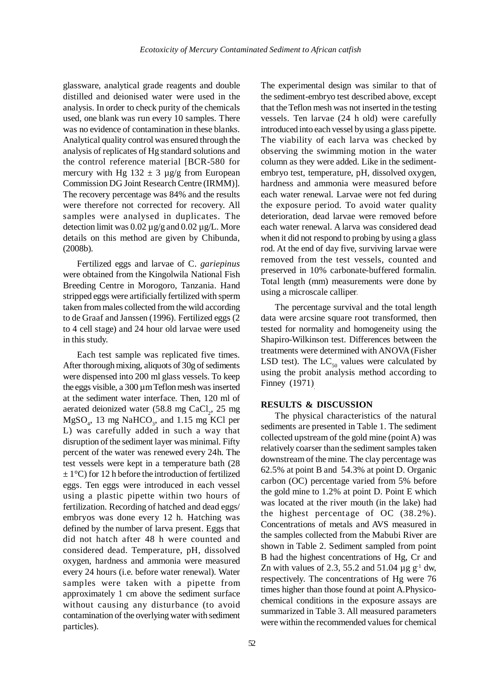glassware, analytical grade reagents and double distilled and deionised water were used in the analysis. In order to check purity of the chemicals used, one blank was run every 10 samples. There was no evidence of contamination in these blanks. Analytical quality control was ensured through the analysis of replicates of Hg standard solutions and the control reference material [BCR-580 for mercury with Hg  $132 \pm 3$  µg/g from European Commission DG Joint Research Centre (IRMM)]. The recovery percentage was 84% and the results were therefore not corrected for recovery. All samples were analysed in duplicates. The detection limit was  $0.02 \mu g/g$  and  $0.02 \mu g/L$ . More details on this method are given by Chibunda, (2008b).

Fertilized eggs and larvae of C. *gariepinus* were obtained from the Kingolwila National Fish Breeding Centre in Morogoro, Tanzania. Hand stripped eggs were artificially fertilized with sperm taken from males collected from the wild according to de Graaf and Janssen (1996). Fertilized eggs (2 to 4 cell stage) and 24 hour old larvae were used in this study.

Each test sample was replicated five times. After thorough mixing, aliquots of 30g of sediments were dispensed into 200 ml glass vessels. To keep the eggs visible, a 300 µm Teflon mesh was inserted at the sediment water interface. Then, 120 ml of aerated deionized water  $(58.8 \text{ mg } \text{CaCl}_2, 25 \text{ mg})$  $MgSO<sub>4</sub>$ , 13 mg NaHCO<sub>3</sub>, and 1.15 mg KCl per L) was carefully added in such a way that disruption of the sediment layer was minimal. Fifty percent of the water was renewed every 24h. The test vessels were kept in a temperature bath (28  $\pm$  1°C) for 12 h before the introduction of fertilized eggs. Ten eggs were introduced in each vessel using a plastic pipette within two hours of fertilization. Recording of hatched and dead eggs/ embryos was done every 12 h. Hatching was defined by the number of larva present. Eggs that did not hatch after 48 h were counted and considered dead. Temperature, pH, dissolved oxygen, hardness and ammonia were measured every 24 hours (i.e. before water renewal). Water samples were taken with a pipette from approximately 1 cm above the sediment surface without causing any disturbance (to avoid contamination of the overlying water with sediment particles).

The experimental design was similar to that of the sediment-embryo test described above, except that the Teflon mesh was not inserted in the testing vessels. Ten larvae (24 h old) were carefully introduced into each vessel by using a glass pipette. The viability of each larva was checked by observing the swimming motion in the water column as they were added. Like in the sedimentembryo test, temperature, pH, dissolved oxygen, hardness and ammonia were measured before each water renewal. Larvae were not fed during the exposure period. To avoid water quality deterioration, dead larvae were removed before each water renewal. A larva was considered dead when it did not respond to probing by using a glass rod. At the end of day five, surviving larvae were removed from the test vessels, counted and preserved in 10% carbonate-buffered formalin. Total length (mm) measurements were done by using a microscale calliper.

The percentage survival and the total length data were arcsine square root transformed, then tested for normality and homogeneity using the Shapiro-Wilkinson test. Differences between the treatments were determined with ANOVA (Fisher LSD test). The  $LC_{50}$  values were calculated by using the probit analysis method according to Finney (1971).

## **RESULTS & DISCUSSION**

The physical characteristics of the natural sediments are presented in Table 1. The sediment collected upstream of the gold mine (point A) was relatively coarser than the sediment samples taken downstream of the mine. The clay percentage was 62.5% at point B and 54.3% at point D. Organic carbon (OC) percentage varied from 5% before the gold mine to 1.2% at point D. Point E which was located at the river mouth (in the lake) had the highest percentage of OC (38.2%). Concentrations of metals and AVS measured in the samples collected from the Mabubi River are shown in Table 2. Sediment sampled from point B had the highest concentrations of Hg, Cr and Zn with values of 2.3, 55.2 and 51.04  $\mu$  g g<sup>-1</sup> dw, respectively. The concentrations of Hg were 76 times higher than those found at point A.Physicochemical conditions in the exposure assays are summarized in Table 3. All measured parameters were within the recommended values for chemical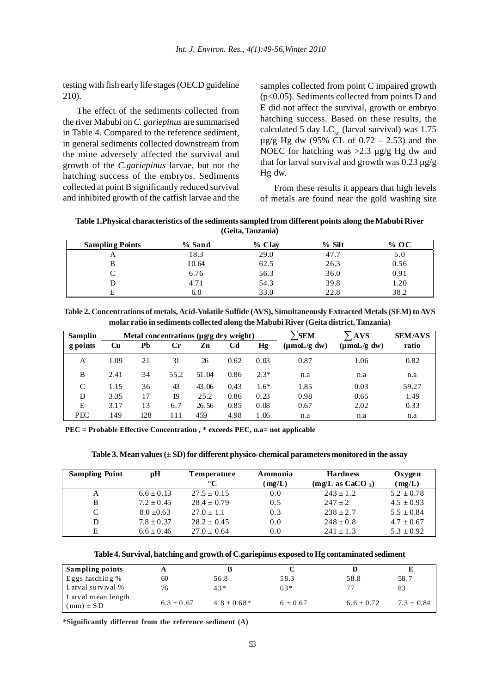testing with fish early life stages (OECD guideline 210).

The effect of the sediments collected from the river Mabubi on *C. gariepinus* are summarised in Table 4. Compared to the reference sediment, in general sediments collected downstream from the mine adversely affected the survival and growth of the *C.gariepinus* larvae, but not the hatching success of the embryos. Sediments collected at point B significantly reduced survival and inhibited growth of the catfish larvae and the samples collected from point C impaired growth (p<0.05). Sediments collected from points D and E did not affect the survival, growth or embryo hatching success. Based on these results, the calculated 5 day  $LC_{50}$  (larval survival) was 1.75  $\mu$ g/g Hg dw (95% CL of 0.72 – 2.53) and the NOEC for hatching was  $>2.3 \mu g/g$  Hg dw and that for larval survival and growth was  $0.23 \mu$ g/g Hg dw.

From these results it appears that high levels of metals are found near the gold washing site

**Table 1.Physical characteristics of the sediments sampled from different points along the Mabubi River (Geita, Tanzania)**

| <b>Sampling Points</b> | % Sand | % Clay | $%$ Silt | % OC |
|------------------------|--------|--------|----------|------|
|                        | 18.3   | 29.0   | 47.7     | 5.0  |
|                        | 10.64  | 62.5   | 26.3     | 0.56 |
|                        | 6.76   | 56.3   | 36.0     | 0.91 |
|                        | 4.71   | 54.3   | 39.8     | 1.20 |
|                        | 6.0    | 33.0   | 22.8     | 38.2 |

**Table 2. Concentrations of metals, Acid-Volatile Sulfide (AVS), Simultaneously Extracted Metals (SEM) to AVS molar ratio in sediments collected along the Mabubi River (Geita district, Tanzania)**

| <b>Samplin</b> | Metal concentrations $(\mu g/g)$ dry weight) |     |             |       |                | <b>SEM</b> | $\cdot$ AVS                    | <b>SEM/AVS</b>                 |       |
|----------------|----------------------------------------------|-----|-------------|-------|----------------|------------|--------------------------------|--------------------------------|-------|
| g points       | Cu                                           | Pb  | $_{\rm Cr}$ | Zn    | C <sub>d</sub> | Hg         | $(\mu \text{mol}/g \text{dw})$ | $(\mu \text{mol}/g \text{dw})$ | ratio |
| A              | 1.09                                         | 21  | 31          | 26    | 0.62           | 0.03       | 0.87                           | 1.06                           | 0.82  |
| B              | 2.41                                         | 34  | 55.2        | 51.04 | 0.86           | $2.3*$     | n.a                            | n.a                            | n.a   |
| C              | 1.15                                         | 36  | 43          | 43.06 | 0.43           | $1.6*$     | 1.85                           | 0.03                           | 59.27 |
| D              | 3.35                                         | 17  | 19          | 25.2  | 0.86           | 0.23       | 0.98                           | 0.65                           | 1.49  |
| Ε              | 3.17                                         | 13  | 6.7         | 26.56 | 0.85           | 0.08       | 0.67                           | 2.02                           | 0.33  |
| <b>PEC</b>     | 149                                          | 128 | 111         | 459   | 4.98           | 1.06       | n.a                            | n.a                            | n.a   |

**PEC = Probable Effective Concentration , \* exceeds PEC, n.a= not applicable**

**Table 3. Mean values (± SD) for different physico-chemical parameters monitored in the assay**

| <b>Sampling Point</b> | pH             | <b>Temperature</b><br>$^{\circ}C$ | Ammonia<br>(mg/L) | <b>Hardness</b><br>(mg/L as CaCO <sub>3</sub> ) | Oxygen<br>(mg/L) |
|-----------------------|----------------|-----------------------------------|-------------------|-------------------------------------------------|------------------|
| A                     | $6.6 \pm 0.13$ | $27.5 \pm 0.15$                   | 0.0               | $243 \pm 1.2$                                   | $5.2 \pm 0.78$   |
| B                     | $7.2 \pm 0.45$ | $28.4 \pm 0.79$                   | 0.5               | $247 + 2$                                       | $4.5 \pm 0.93$   |
| C                     | $8.0 + 0.63$   | $27.0 \pm 1.1$                    | 0.3               | $238 + 2.7$                                     | $5.5 + 0.84$     |
| D                     | $7.8 \pm 0.37$ | $28.2 \pm 0.45$                   | 0.0               | $248 \pm 0.8$                                   | $4.7 \pm 0.67$   |
| E                     | $6.6 \pm 0.46$ | $27.0 \pm 0.64$                   | 0.0               | $241 \pm 1.3$                                   | $5.3 \pm 0.92$   |

**Table 4. Survival, hatching and growth of C.gariepinus exposed to Hg contaminated sediment**

| Sampling points                     |                |               |            |              |              |
|-------------------------------------|----------------|---------------|------------|--------------|--------------|
| Eggs hatching %                     | 60             | 56.8          | 58.3       | 58.8         | 58.7         |
| Larval survival %                   | 76             | 43*           | $63*$      |              | 83           |
| Larval mean length<br>$(mm) \pm SD$ | $6.3 \pm 0.67$ | $4.8 + 0.68*$ | $6 + 0.67$ | $6.6 + 0.72$ | $7.3 + 0.84$ |

**\*Significantly different from the reference sediment (A)**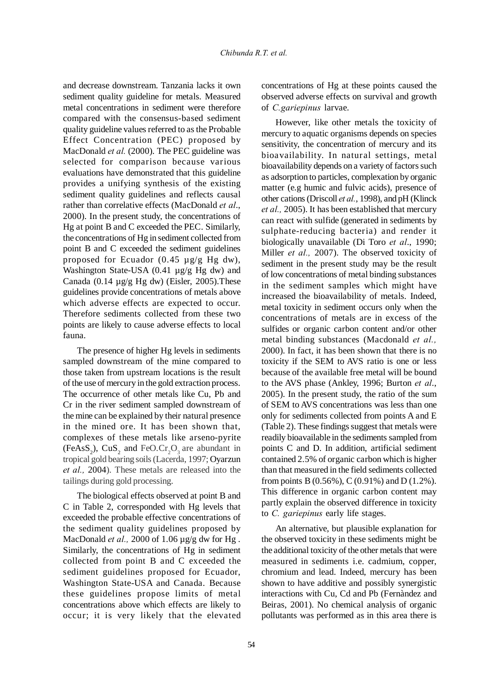and decrease downstream. Tanzania lacks it own sediment quality guideline for metals. Measured metal concentrations in sediment were therefore compared with the consensus-based sediment quality guideline values referred to as the Probable Effect Concentration (PEC) proposed by MacDonald *et al.* (2000). The PEC guideline was selected for comparison because various evaluations have demonstrated that this guideline provides a unifying synthesis of the existing sediment quality guidelines and reflects causal rather than correlative effects (MacDonald *et al*., 2000). In the present study, the concentrations of Hg at point B and C exceeded the PEC. Similarly, the concentrations of Hg in sediment collected from point B and C exceeded the sediment guidelines proposed for Ecuador  $(0.45 \mu g/g Hg dw)$ , Washington State-USA (0.41 µg/g Hg dw) and Canada  $(0.14 \mu g/g Hg dw)$  (Eisler, 2005). These guidelines provide concentrations of metals above which adverse effects are expected to occur. Therefore sediments collected from these two points are likely to cause adverse effects to local fauna.

The presence of higher Hg levels in sediments sampled downstream of the mine compared to those taken from upstream locations is the result of the use of mercury in the gold extraction process. The occurrence of other metals like Cu, Pb and Cr in the river sediment sampled downstream of the mine can be explained by their natural presence in the mined ore. It has been shown that, complexes of these metals like arseno-pyrite (FeAsS<sub>2</sub>), CuS<sub>2</sub> and FeO.Cr<sub>2</sub>O<sub>3</sub> are abundant in tropical gold bearing soils (Lacerda, 1997; Oyarzun *et al.,* 2004). These metals are released into the tailings during gold processing.

The biological effects observed at point B and C in Table 2, corresponded with Hg levels that exceeded the probable effective concentrations of the sediment quality guidelines proposed by MacDonald *et al.*, 2000 of 1.06 µg/g dw for Hg. Similarly, the concentrations of Hg in sediment collected from point B and C exceeded the sediment guidelines proposed for Ecuador, Washington State-USA and Canada. Because these guidelines propose limits of metal concentrations above which effects are likely to occur; it is very likely that the elevated concentrations of Hg at these points caused the observed adverse effects on survival and growth of *C.gariepinus* larvae.

However, like other metals the toxicity of mercury to aquatic organisms depends on species sensitivity, the concentration of mercury and its bioavailability. In natural settings, metal bioavailability depends on a variety of factors such as adsorption to particles, complexation by organic matter (e.g humic and fulvic acids), presence of other cations (Driscoll *et al.*, 1998), and pH (Klinck *et al.,* 2005). It has been established that mercury can react with sulfide (generated in sediments by sulphate-reducing bacteria) and render it biologically unavailable (Di Toro *et al*., 1990; Miller *et al.,* 2007). The observed toxicity of sediment in the present study may be the result of low concentrations of metal binding substances in the sediment samples which might have increased the bioavailability of metals. Indeed, metal toxicity in sediment occurs only when the concentrations of metals are in excess of the sulfides or organic carbon content and/or other metal binding substances (Macdonald *et al.,* 2000). In fact, it has been shown that there is no toxicity if the SEM to AVS ratio is one or less because of the available free metal will be bound to the AVS phase (Ankley, 1996; Burton *et al*., 2005). In the present study, the ratio of the sum of SEM to AVS concentrations was less than one only for sediments collected from points A and E (Table 2). These findings suggest that metals were readily bioavailable in the sediments sampled from points C and D. In addition, artificial sediment contained 2.5% of organic carbon which is higher than that measured in the field sediments collected from points B (0.56%), C (0.91%) and D (1.2%). This difference in organic carbon content may partly explain the observed difference in toxicity to *C. gariepinus* early life stages.

An alternative, but plausible explanation for the observed toxicity in these sediments might be the additional toxicity of the other metals that were measured in sediments i.e. cadmium, copper, chromium and lead. Indeed, mercury has been shown to have additive and possibly synergistic interactions with Cu, Cd and Pb (Fernàndez and Beiras, 2001). No chemical analysis of organic pollutants was performed as in this area there is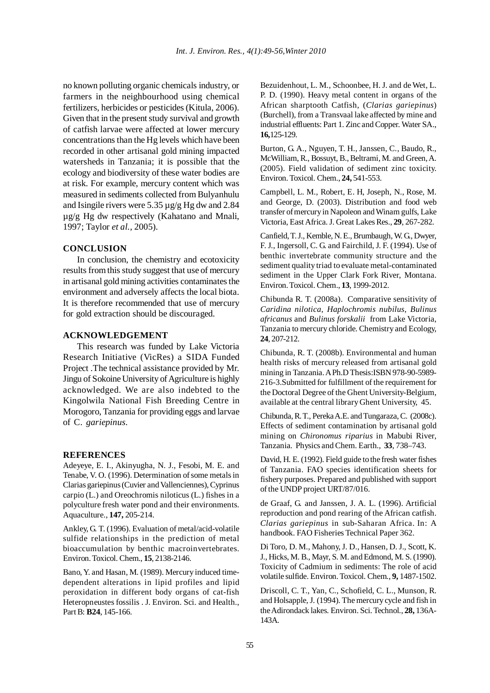no known polluting organic chemicals industry, or farmers in the neighbourhood using chemical fertilizers, herbicides or pesticides (Kitula, 2006). Given that in the present study survival and growth of catfish larvae were affected at lower mercury concentrations than the Hg levels which have been recorded in other artisanal gold mining impacted watersheds in Tanzania; it is possible that the ecology and biodiversity of these water bodies are at risk. For example, mercury content which was measured in sediments collected from Bulyanhulu and Isingile rivers were 5.35 µg/g Hg dw and 2.84 µg/g Hg dw respectively (Kahatano and Mnali, 1997; Taylor *et al.,* 2005).

## **CONCLUSION**

In conclusion, the chemistry and ecotoxicity results from this study suggest that use of mercury in artisanal gold mining activities contaminates the environment and adversely affects the local biota. It is therefore recommended that use of mercury for gold extraction should be discouraged.

#### **ACKNOWLEDGEMENT**

This research was funded by Lake Victoria Research Initiative (VicRes) a SIDA Funded Project .The technical assistance provided by Mr. Jingu of Sokoine University of Agriculture is highly acknowledged. We are also indebted to the Kingolwila National Fish Breeding Centre in Morogoro, Tanzania for providing eggs and larvae of C. *gariepinus*.

#### **REFERENCES**

Adeyeye, E. I., Akinyugha, N. J., Fesobi, M. E. and Tenabe, V. O. (1996). Determination of some metals in Clarias gariepinus (Cuvier and Vallenciennes), Cyprinus carpio (L.) and Oreochromis niloticus (L.) fishes in a polyculture fresh water pond and their environments. Aquaculture., **147,** 205-214.

Ankley, G. T. (1996). Evaluation of metal/acid-volatile sulfide relationships in the prediction of metal bioaccumulation by benthic macroinvertebrates. Environ. Toxicol. Chem*.*, **15**, 2138-2146.

Bano, Y. and Hasan, M. (1989). Mercury induced timedependent alterations in lipid profiles and lipid peroxidation in different body organs of cat-fish Heteropneustes fossilis . J. Environ. Sci. and Health., Part B: **B24**, 145-166.

Bezuidenhout, L. M., Schoonbee, H. J. and de Wet, L. P. D. (1990). Heavy metal content in organs of the African sharptooth Catfish, (*Clarias gariepinus*) (Burchell), from a Transvaal lake affected by mine and industrial effluents: Part 1. Zinc and Copper. Water SA., **16,**125-129.

Burton, G. A., Nguyen, T. H., Janssen, C., Baudo, R., McWilliam, R., Bossuyt, B., Beltrami, M. and Green, A. (2005). Field validation of sediment zinc toxicity. Environ. Toxicol. Chem., **24,** 541-553.

Campbell, L. M., Robert, E. H, Joseph, N., Rose, M. and George, D. (2003). Distribution and food web transfer of mercury in Napoleon and Winam gulfs, Lake Victoria, East Africa. J. Great Lakes Res., **29**, 267-282.

Canfield, T. J., Kemble, N. E., Brumbaugh, W. G., Dwyer, F. J., Ingersoll, C. G. and Fairchild, J. F. (1994). Use of benthic invertebrate community structure and the sediment quality triad to evaluate metal-contaminated sediment in the Upper Clark Fork River, Montana. Environ. Toxicol. Chem., **13**, 1999-2012.

Chibunda R. T. (2008a). Comparative sensitivity of *Caridina nilotica*, *Haplochromis nubilus*, *Bulinus africanus* and *Bulinus forskalii* from Lake Victoria, Tanzania to mercury chloride. Chemistry and Ecology, **24**, 207-212.

Chibunda, R. T. (2008b). Environmental and human health risks of mercury released from artisanal gold mining in Tanzania. A Ph.D Thesis:ISBN 978-90-5989- 216-3.Submitted for fulfillment of the requirement for the Doctoral Degree of the Ghent University-Belgium, available at the central library Ghent University, 45.

Chibunda, R. T., Pereka A.E. and Tungaraza, C. (2008c). Effects of sediment contamination by artisanal gold mining on *Chironomus riparius* in Mabubi River, Tanzania. Physics and Chem. Earth., **33**, 738–743.

David, H. E. (1992). Field guide to the fresh water fishes of Tanzania. FAO species identification sheets for fishery purposes. Prepared and published with support of the UNDP project URT/87/016.

de Graaf, G. and Janssen, J. A. L. (1996). Artificial reproduction and pond rearing of the African catfish. *Clarias gariepinus* in sub-Saharan Africa. In: A handbook. FAO Fisheries Technical Paper 362.

Di Toro, D. M., Mahony, J. D., Hansen, D. J., Scott, K. J., Hicks, M. B., Mayr, S. M. and Edmond, M. S. (1990). Toxicity of Cadmium in sediments: The role of acid volatile sulfide. Environ. Toxicol. Chem*.*, **9,** 1487-1502.

Driscoll, C. T., Yan, C., Schofield, C. L., Munson, R. and Holsapple, J. (1994). The mercury cycle and fish in the Adirondack lakes. Environ. Sci. Technol*.*, **28,** 136A-143A.